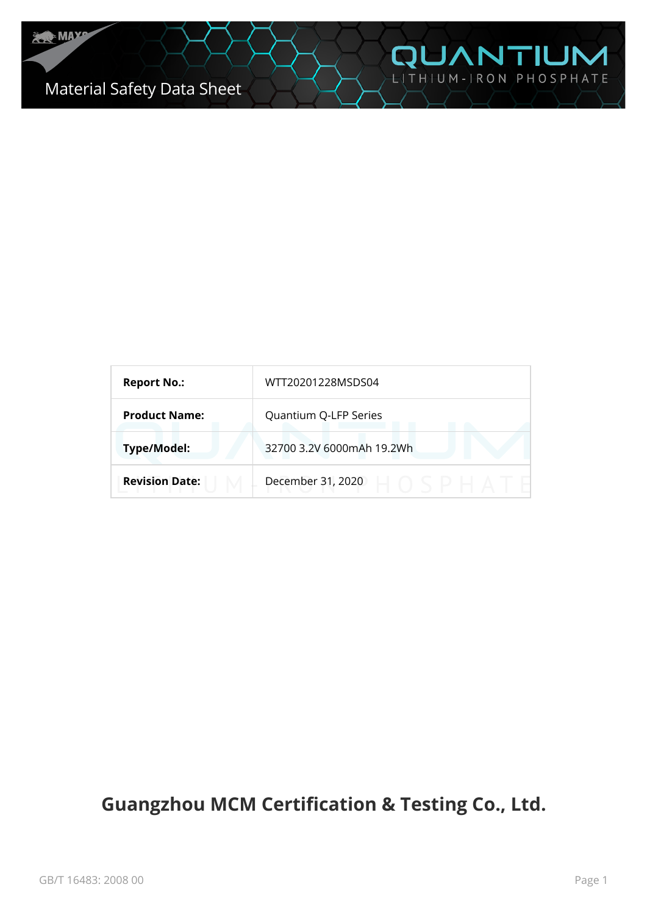# Material Safety Data Sheet

| <b>Report No.:</b>    | WTT20201228MSDS04         |
|-----------------------|---------------------------|
| <b>Product Name:</b>  | Quantium Q-LFP Series     |
| <b>Type/Model:</b>    | 32700 3.2V 6000mAh 19.2Wh |
| <b>Revision Date:</b> | December 31, 2020         |

**QUANTIUM** 

# **Guangzhou MCM Certification & Testing Co., Ltd.**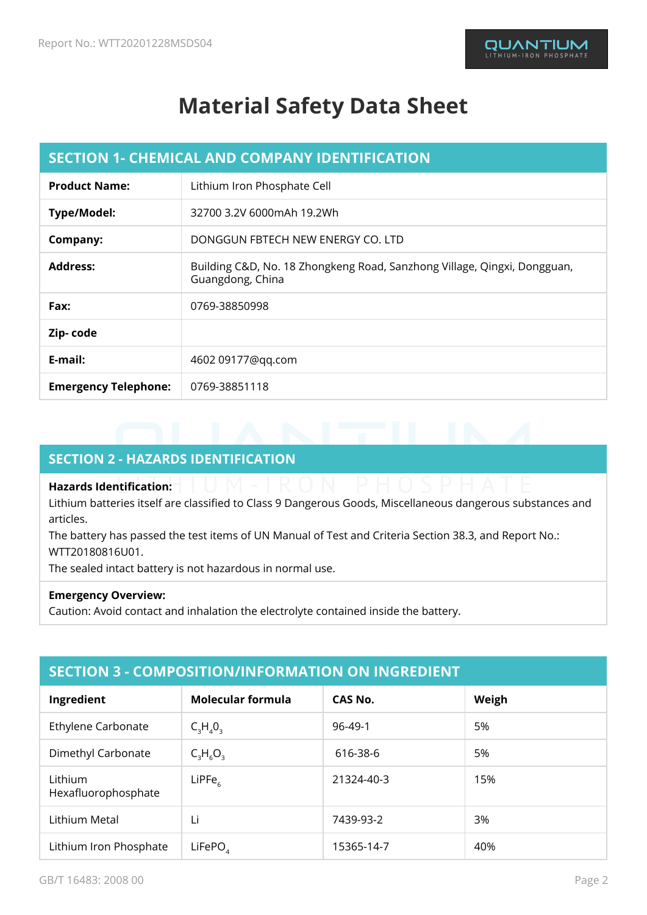# **Material Safety Data Sheet**

| <b>SECTION 1- CHEMICAL AND COMPANY IDENTIFICATION</b> |                                                                                              |
|-------------------------------------------------------|----------------------------------------------------------------------------------------------|
| <b>Product Name:</b>                                  | Lithium Iron Phosphate Cell                                                                  |
| Type/Model:                                           | 32700 3.2V 6000mAh 19.2Wh                                                                    |
| Company:                                              | DONGGUN FBTECH NEW ENERGY CO. LTD                                                            |
| <b>Address:</b>                                       | Building C&D, No. 18 Zhongkeng Road, Sanzhong Village, Qingxi, Dongguan,<br>Guangdong, China |
| Fax:                                                  | 0769-38850998                                                                                |
| Zip-code                                              |                                                                                              |
| E-mail:                                               | 4602 09177@qq.com                                                                            |
| <b>Emergency Telephone:</b>                           | 0769-38851118                                                                                |

## **SECTION 2 - HAZARDS IDENTIFICATION**

#### **Hazards Identification:**

Lithium batteries itself are classified to Class 9 Dangerous Goods, Miscellaneous dangerous substances and articles.

The battery has passed the test items of UN Manual of Test and Criteria Section 38.3, and Report No.: WTT20180816U01.

The sealed intact battery is not hazardous in normal use.

#### **Emergency Overview:**

Caution: Avoid contact and inhalation the electrolyte contained inside the battery.

| <b>SECTION 3 - COMPOSITION/INFORMATION ON INGREDIENT</b> |
|----------------------------------------------------------|
|----------------------------------------------------------|

| Ingredient                     | Molecular formula | CAS No.    | Weigh |
|--------------------------------|-------------------|------------|-------|
| Ethylene Carbonate             | $C_3H_4O_3$       | 96-49-1    | 5%    |
| Dimethyl Carbonate             | $C_3H_6O_3$       | 616-38-6   | 5%    |
| Lithium<br>Hexafluorophosphate | $L$ iPFe $_{6}$   | 21324-40-3 | 15%   |
| Lithium Metal                  | Li                | 7439-93-2  | 3%    |
| Lithium Iron Phosphate         | LiFePO            | 15365-14-7 | 40%   |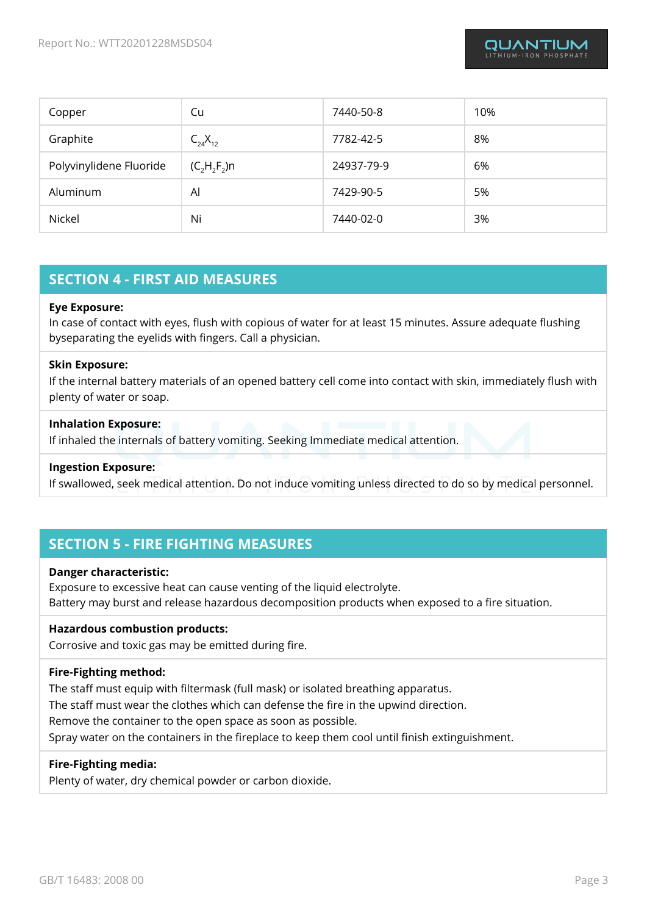| Copper                  | Cu             | 7440-50-8  | 10% |
|-------------------------|----------------|------------|-----|
| Graphite                | $C_{24}X_{12}$ | 7782-42-5  | 8%  |
| Polyvinylidene Fluoride | $(C, H, F)$ n  | 24937-79-9 | 6%  |
| Aluminum                | Al             | 7429-90-5  | 5%  |
| Nickel                  | Ni             | 7440-02-0  | 3%  |

## **SECTION 4 - FIRST AID MEASURES**

#### **Eye Exposure:**

In case of contact with eyes, flush with copious of water for at least 15 minutes. Assure adequate flushing byseparating the eyelids with fingers. Call a physician.

#### **Skin Exposure:**

If the internal battery materials of an opened battery cell come into contact with skin, immediately flush with plenty of water or soap.

#### **Inhalation Exposure:**

If inhaled the internals of battery vomiting. Seeking Immediate medical attention.

#### **Ingestion Exposure:**

If swallowed, seek medical attention. Do not induce vomiting unless directed to do so by medical personnel.

### **SECTION 5 - FIRE FIGHTING MEASURES**

#### **Danger characteristic:**

Exposure to excessive heat can cause venting of the liquid electrolyte. Battery may burst and release hazardous decomposition products when exposed to a fire situation.

#### **Hazardous combustion products:**

Corrosive and toxic gas may be emitted during fire.

#### **Fire-Fighting method:**

The staff must equip with filtermask (full mask) or isolated breathing apparatus.

The staff must wear the clothes which can defense the fire in the upwind direction.

Remove the container to the open space as soon as possible.

Spray water on the containers in the fireplace to keep them cool until finish extinguishment.

#### **Fire-Fighting media:**

Plenty of water, dry chemical powder or carbon dioxide.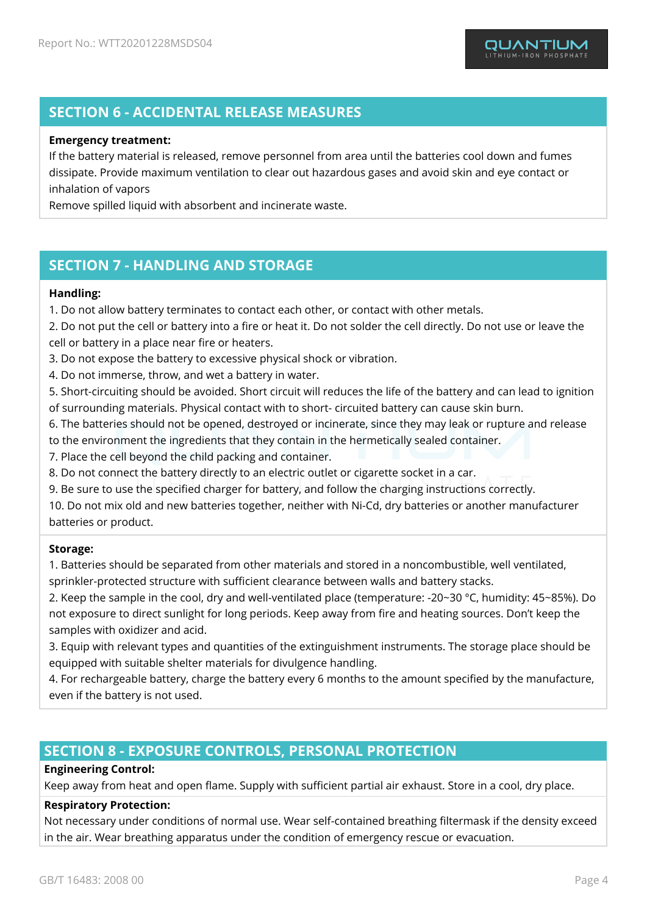## **SECTION 6 - ACCIDENTAL RELEASE MEASURES**

#### **Emergency treatment:**

If the battery material is released, remove personnel from area until the batteries cool down and fumes dissipate. Provide maximum ventilation to clear out hazardous gases and avoid skin and eye contact or inhalation of vapors

Remove spilled liquid with absorbent and incinerate waste.

## **SECTION 7 - HANDLING AND STORAGE**

#### **Handling:**

1. Do not allow battery terminates to contact each other, or contact with other metals.

2. Do not put the cell or battery into a fire or heat it. Do not solder the cell directly. Do not use or leave the cell or battery in a place near fire or heaters.

3. Do not expose the battery to excessive physical shock or vibration.

4. Do not immerse, throw, and wet a battery in water.

5. Short-circuiting should be avoided. Short circuit will reduces the life of the battery and can lead to ignition of surrounding materials. Physical contact with to short- circuited battery can cause skin burn.

6. The batteries should not be opened, destroyed or incinerate, since they may leak or rupture and release

to the environment the ingredients that they contain in the hermetically sealed container.

7. Place the cell beyond the child packing and container.

8. Do not connect the battery directly to an electric outlet or cigarette socket in a car.

9. Be sure to use the specified charger for battery, and follow the charging instructions correctly.

10. Do not mix old and new batteries together, neither with Ni-Cd, dry batteries or another manufacturer batteries or product.

#### **Storage:**

1. Batteries should be separated from other materials and stored in a noncombustible, well ventilated, sprinkler-protected structure with sufficient clearance between walls and battery stacks.

2. Keep the sample in the cool, dry and well-ventilated place (temperature: -20~30 °C, humidity: 45~85%). Do not exposure to direct sunlight for long periods. Keep away from fire and heating sources. Don't keep the samples with oxidizer and acid.

3. Equip with relevant types and quantities of the extinguishment instruments. The storage place should be equipped with suitable shelter materials for divulgence handling.

4. For rechargeable battery, charge the battery every 6 months to the amount specified by the manufacture, even if the battery is not used.

### **SECTION 8 - EXPOSURE CONTROLS, PERSONAL PROTECTION**

#### **Engineering Control:**

Keep away from heat and open flame. Supply with sufficient partial air exhaust. Store in a cool, dry place.

#### **Respiratory Protection:**

Not necessary under conditions of normal use. Wear self-contained breathing filtermask if the density exceed in the air. Wear breathing apparatus under the condition of emergency rescue or evacuation.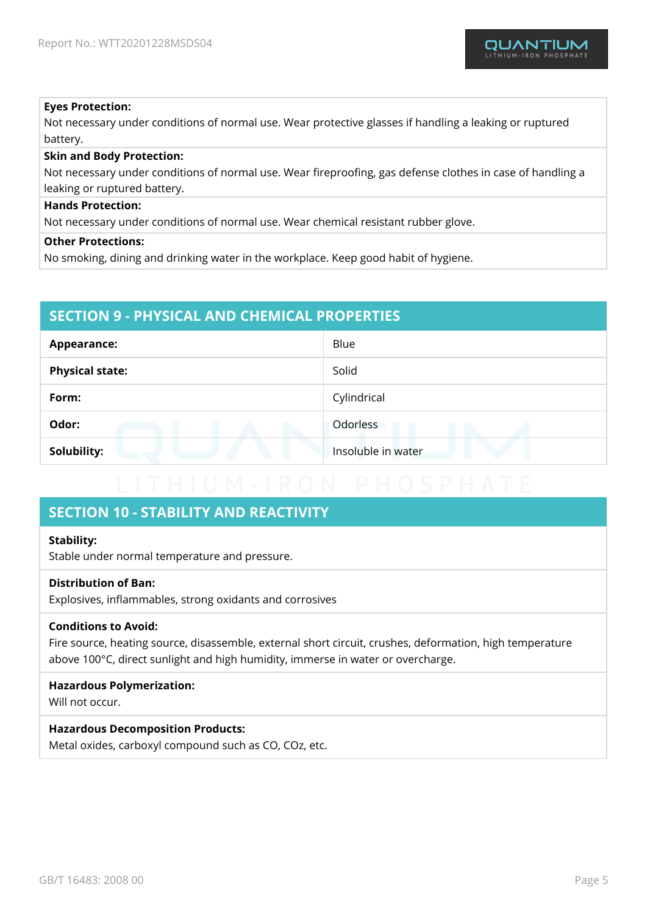#### **Eyes Protection:**

Not necessary under conditions of normal use. Wear protective glasses if handling a leaking or ruptured battery.

#### **Skin and Body Protection:**

Not necessary under conditions of normal use. Wear fireproofing, gas defense clothes in case of handling a leaking or ruptured battery.

#### **Hands Protection:**

Not necessary under conditions of normal use. Wear chemical resistant rubber glove.

#### **Other Protections:**

No smoking, dining and drinking water in the workplace. Keep good habit of hygiene.

## **SECTION 9 - PHYSICAL AND CHEMICAL PROPERTIES**

| <b>Appearance:</b>     | Blue               |
|------------------------|--------------------|
| <b>Physical state:</b> | Solid              |
| Form:                  | Cylindrical        |
| Odor:                  | Odorless           |
| Solubility:            | Insoluble in water |

## **SECTION 10 - STABILITY AND REACTIVITY**

#### **Stability:**

Stable under normal temperature and pressure.

#### **Distribution of Ban:**

Explosives, inflammables, strong oxidants and corrosives

#### **Conditions to Avoid:**

Fire source, heating source, disassemble, external short circuit, crushes, deformation, high temperature above 100°C, direct sunlight and high humidity, immerse in water or overcharge.

#### **Hazardous Polymerization:**

Will not occur.

#### **Hazardous Decomposition Products:**

Metal oxides, carboxyl compound such as CO, COz, etc.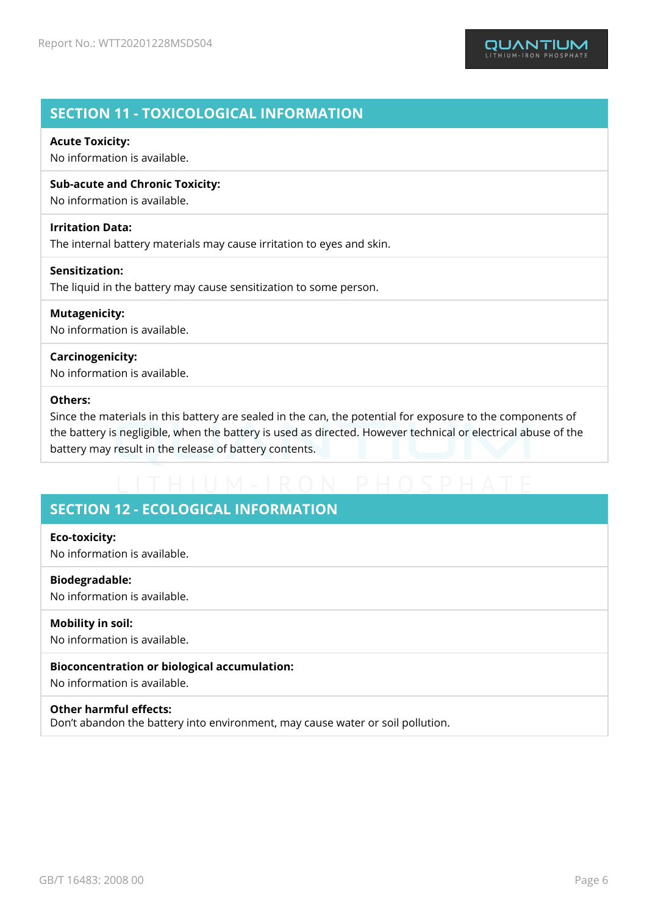## **SECTION 11 - TOXICOLOGICAL INFORMATION**

#### **Acute Toxicity:**

No information is available.

#### **Sub-acute and Chronic Toxicity:**

No information is available.

#### **Irritation Data:**

The internal battery materials may cause irritation to eyes and skin.

#### **Sensitization:**

The liquid in the battery may cause sensitization to some person.

## **Mutagenicity:**

No information is available.

#### **Carcinogenicity:**

No information is available.

#### **Others:**

Since the materials in this battery are sealed in the can, the potential for exposure to the components of the battery is negligible, when the battery is used as directed. However technical or electrical abuse of the battery may result in the release of battery contents.

## **SECTION 12 - ECOLOGICAL INFORMATION**

## **Eco-toxicity:**

No information is available.

## **Biodegradable:**

No information is available.

#### **Mobility in soil:** No information is available.

#### **Bioconcentration or biological accumulation:**

No information is available.

#### **Other harmful effects:**

Don't abandon the battery into environment, may cause water or soil pollution.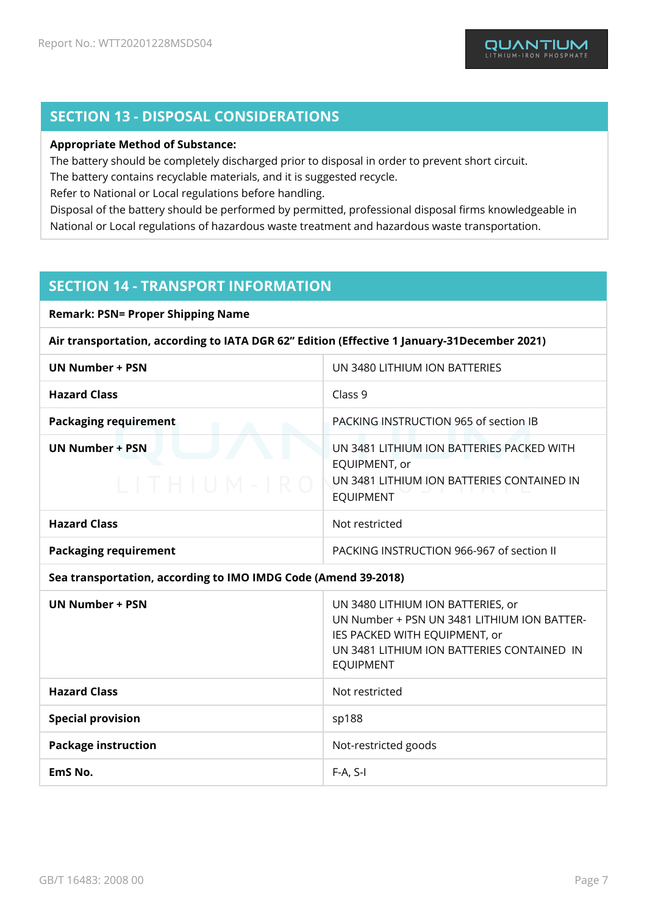## **SECTION 13 - DISPOSAL CONSIDERATIONS**

#### **Appropriate Method of Substance:**

The battery should be completely discharged prior to disposal in order to prevent short circuit.

The battery contains recyclable materials, and it is suggested recycle.

Refer to National or Local regulations before handling.

Disposal of the battery should be performed by permitted, professional disposal firms knowledgeable in National or Local regulations of hazardous waste treatment and hazardous waste transportation.

## **SECTION 14 - TRANSPORT INFORMATION**

**Remark: PSN= Proper Shipping Name**

**Air transportation, according to IATA DGR 62" Edition (Effective 1 January-31December 2021)**

| <b>UN Number + PSN</b>                                         | UN 3480 LITHIUM ION BATTERIES                                                                                                                                   |
|----------------------------------------------------------------|-----------------------------------------------------------------------------------------------------------------------------------------------------------------|
| <b>Hazard Class</b>                                            | Class 9                                                                                                                                                         |
| <b>Packaging requirement</b>                                   | PACKING INSTRUCTION 965 of section IB                                                                                                                           |
| <b>UN Number + PSN</b><br>$LTTHIUM-IRO$                        | UN 3481 LITHIUM ION BATTERIES PACKED WITH<br>EQUIPMENT, or<br>UN 3481 LITHIUM ION BATTERIES CONTAINED IN<br><b>EQUIPMENT</b>                                    |
| <b>Hazard Class</b>                                            | Not restricted                                                                                                                                                  |
| <b>Packaging requirement</b>                                   | PACKING INSTRUCTION 966-967 of section II                                                                                                                       |
| Sea transportation, according to IMO IMDG Code (Amend 39-2018) |                                                                                                                                                                 |
| <b>UN Number + PSN</b>                                         | UN 3480 LITHIUM ION BATTERIES, or<br>UN Number + PSN UN 3481 LITHIUM ION BATTER-<br>IES PACKED WITH EQUIPMENT, or<br>UN 3481 LITHIUM ION BATTERIES CONTAINED IN |

|                            | <b>EQUIPMENT</b>     |
|----------------------------|----------------------|
| <b>Hazard Class</b>        | Not restricted       |
| <b>Special provision</b>   | sp188                |
| <b>Package instruction</b> | Not-restricted goods |
| EmS No.                    | $F-A, S-I$           |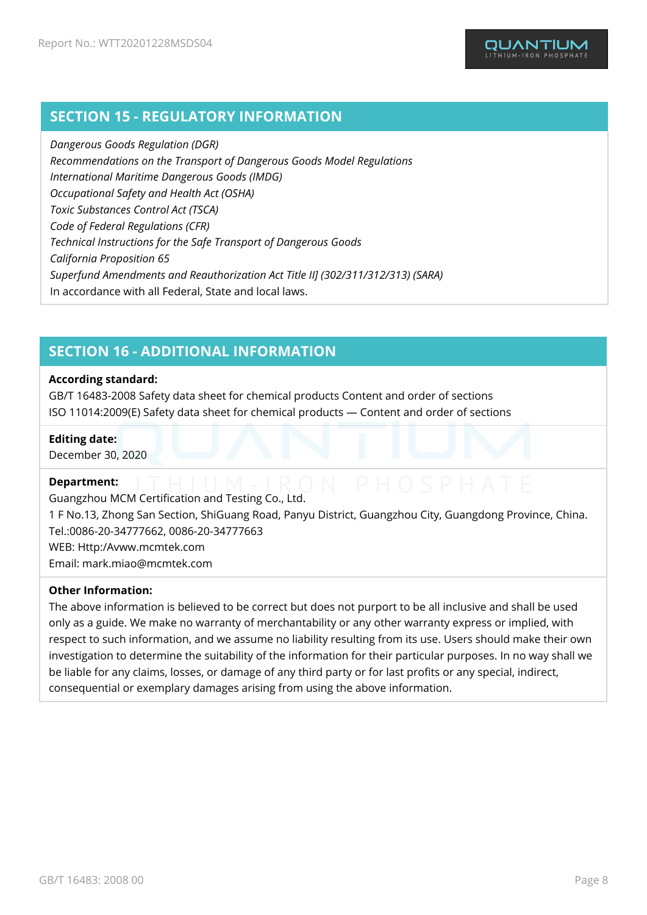## **SECTION 15 - REGULATORY INFORMATION**

*Dangerous Goods Regulation (DGR) Recommendations on the Transport of Dangerous Goods Model Regulations International Maritime Dangerous Goods (IMDG) Occupational Safety and Health Act (OSHA) Toxic Substances Control Act (TSCA) Code of Federal Regulations (CFR) Technical Instructions for the Safe Transport of Dangerous Goods California Proposition 65 Superfund Amendments and Reauthorization Act Title II] (302/311/312/313) (SARA)* In accordance with all Federal, State and local laws.

## **SECTION 16 - ADDITIONAL INFORMATION**

#### **According standard:**

GB/T 16483-2008 Safety data sheet for chemical products Content and order of sections ISO 11014:2009(E) Safety data sheet for chemical products — Content and order of sections

#### **Editing date:**

December 30, 2020

#### **Department:**

Guangzhou MCM Certification and Testing Co., Ltd. 1 F No.13, Zhong San Section, ShiGuang Road, Panyu District, Guangzhou City, Guangdong Province, China. Tel.:0086-20-34777662, 0086-20-34777663 WEB: Http:/Avww.mcmtek.com Email: mark.miao@mcmtek.com

#### **Other Information:**

The above information is believed to be correct but does not purport to be all inclusive and shall be used only as a guide. We make no warranty of merchantability or any other warranty express or implied, with respect to such information, and we assume no liability resulting from its use. Users should make their own investigation to determine the suitability of the information for their particular purposes. In no way shall we be liable for any claims, losses, or damage of any third party or for last profits or any special, indirect, consequential or exemplary damages arising from using the above information.